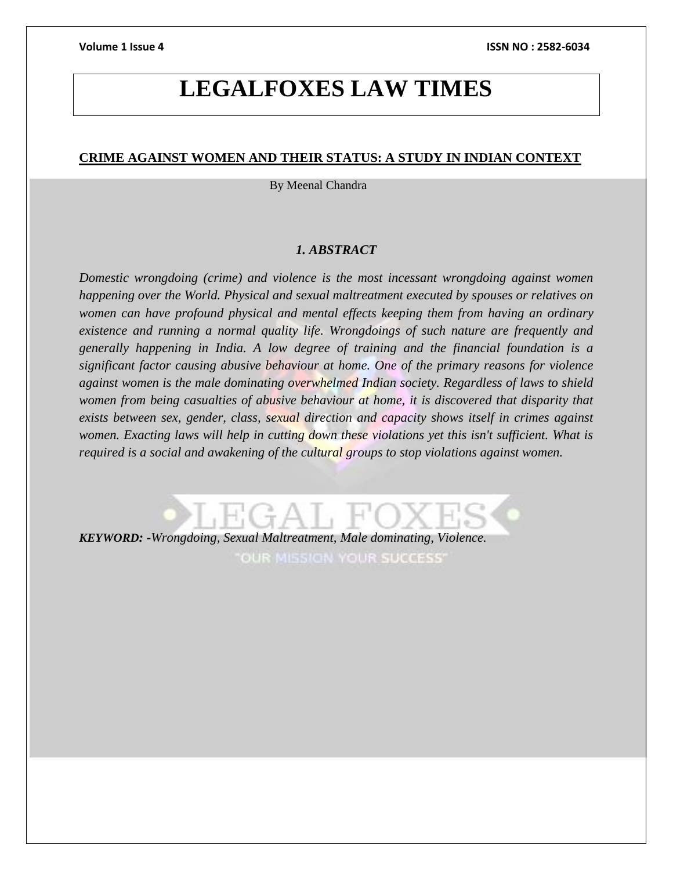# **LEGALFOXES LAW TIMES**

### **CRIME AGAINST WOMEN AND THEIR STATUS: A STUDY IN INDIAN CONTEXT**

By Meenal Chandra

#### *1. ABSTRACT*

*Domestic wrongdoing (crime) and violence is the most incessant wrongdoing against women happening over the World. Physical and sexual maltreatment executed by spouses or relatives on women can have profound physical and mental effects keeping them from having an ordinary existence and running a normal quality life. Wrongdoings of such nature are frequently and generally happening in India. A low degree of training and the financial foundation is a significant factor causing abusive behaviour at home. One of the primary reasons for violence against women is the male dominating overwhelmed Indian society. Regardless of laws to shield women from being casualties of abusive behaviour at home, it is discovered that disparity that exists between sex, gender, class, sexual direction and capacity shows itself in crimes against women. Exacting laws will help in cutting down these violations yet this isn't sufficient. What is required is a social and awakening of the cultural groups to stop violations against women.*

*KEYWORD: -Wrongdoing, Sexual Maltreatment, Male dominating, Violence.*

OUR MISSION YOUR SUCCESS'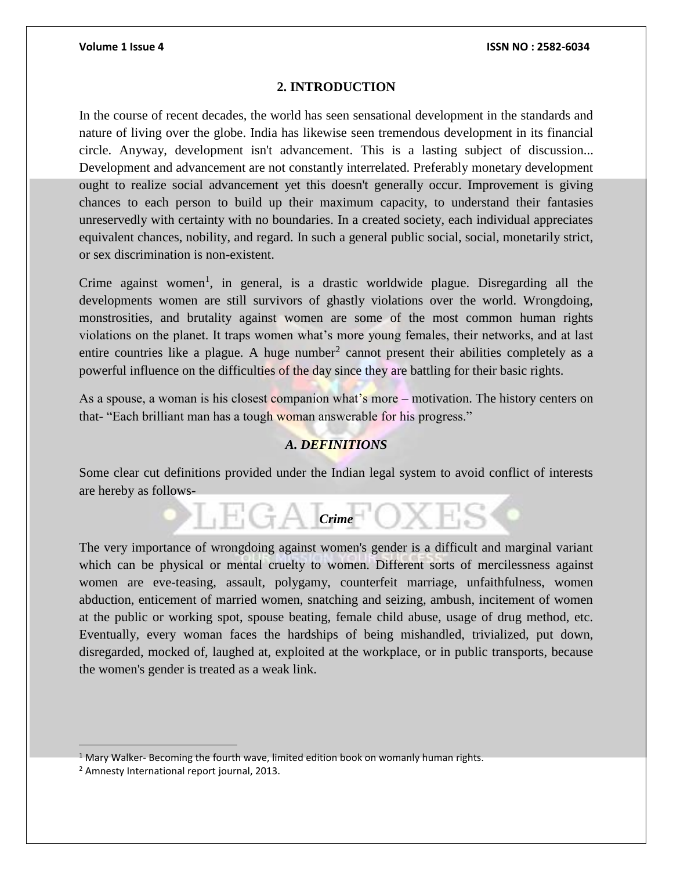### **2. INTRODUCTION**

In the course of recent decades, the world has seen sensational development in the standards and nature of living over the globe. India has likewise seen tremendous development in its financial circle. Anyway, development isn't advancement. This is a lasting subject of discussion... Development and advancement are not constantly interrelated. Preferably monetary development ought to realize social advancement yet this doesn't generally occur. Improvement is giving chances to each person to build up their maximum capacity, to understand their fantasies unreservedly with certainty with no boundaries. In a created society, each individual appreciates equivalent chances, nobility, and regard. In such a general public social, social, monetarily strict, or sex discrimination is non-existent.

Crime against women<sup>1</sup>, in general, is a drastic worldwide plague. Disregarding all the developments women are still survivors of ghastly violations over the world. Wrongdoing, monstrosities, and brutality against women are some of the most common human rights violations on the planet. It traps women what's more young females, their networks, and at last entire countries like a plague. A huge number<sup>2</sup> cannot present their abilities completely as a powerful influence on the difficulties of the day since they are battling for their basic rights.

As a spouse, a woman is his closest companion what's more – motivation. The history centers on that- "Each brilliant man has a tough woman answerable for his progress."

#### *A. DEFINITIONS*

Some clear cut definitions provided under the Indian legal system to avoid conflict of interests are hereby as follows-

 $H \leftarrow$  *C*<sub>rime</sub>  $\bigcirc$ 

The very importance of wrongdoing against women's gender is a difficult and marginal variant which can be physical or mental cruelty to women. Different sorts of mercilessness against women are eve-teasing, assault, polygamy, counterfeit marriage, unfaithfulness, women abduction, enticement of married women, snatching and seizing, ambush, incitement of women at the public or working spot, spouse beating, female child abuse, usage of drug method, etc. Eventually, every woman faces the hardships of being mishandled, trivialized, put down, disregarded, mocked of, laughed at, exploited at the workplace, or in public transports, because the women's gender is treated as a weak link.

 $<sup>1</sup>$  Mary Walker- Becoming the fourth wave, limited edition book on womanly human rights.</sup>

<sup>2</sup> Amnesty International report journal, 2013.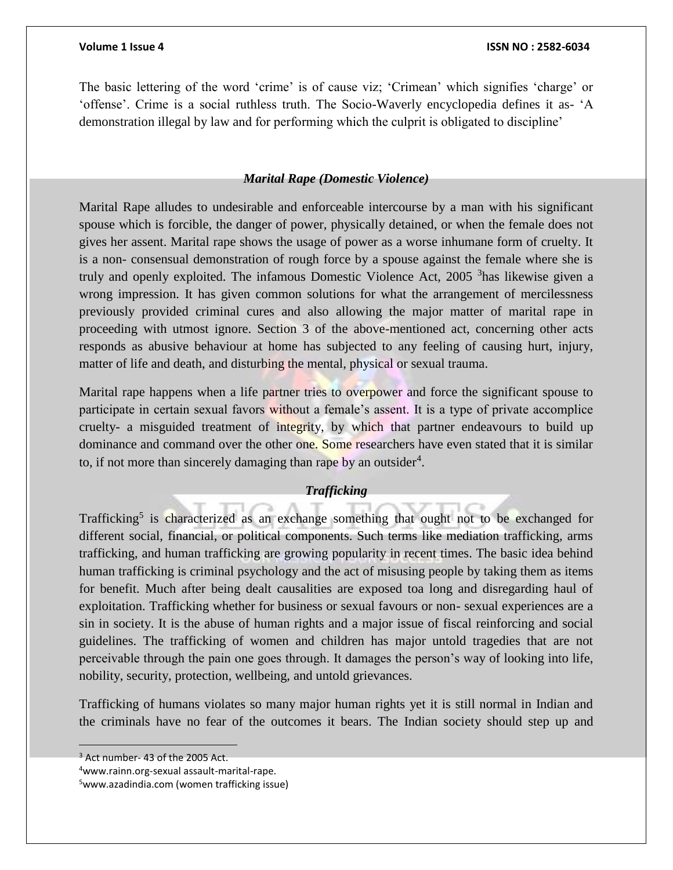The basic lettering of the word 'crime' is of cause viz; 'Crimean' which signifies 'charge' or 'offense'. Crime is a social ruthless truth. The Socio-Waverly encyclopedia defines it as- 'A demonstration illegal by law and for performing which the culprit is obligated to discipline'

#### *Marital Rape (Domestic Violence)*

Marital Rape alludes to undesirable and enforceable intercourse by a man with his significant spouse which is forcible, the danger of power, physically detained, or when the female does not gives her assent. Marital rape shows the usage of power as a worse inhumane form of cruelty. It is a non- consensual demonstration of rough force by a spouse against the female where she is truly and openly exploited. The infamous Domestic Violence Act, 2005 <sup>3</sup>has likewise given a wrong impression. It has given common solutions for what the arrangement of mercilessness previously provided criminal cures and also allowing the major matter of marital rape in proceeding with utmost ignore. Section 3 of the above-mentioned act, concerning other acts responds as abusive behaviour at home has subjected to any feeling of causing hurt, injury, matter of life and death, and disturbing the mental, physical or sexual trauma.

Marital rape happens when a life partner tries to overpower and force the significant spouse to participate in certain sexual favors without a female's assent. It is a type of private accomplice cruelty- a misguided treatment of integrity, by which that partner endeavours to build up dominance and command over the other one. Some researchers have even stated that it is similar to, if not more than sincerely damaging than rape by an outsider<sup>4</sup>.

#### *Trafficking*

Trafficking<sup>5</sup> is characterized as an exchange something that ought not to be exchanged for different social, financial, or political components. Such terms like mediation trafficking, arms trafficking, and human trafficking are growing popularity in recent times. The basic idea behind human trafficking is criminal psychology and the act of misusing people by taking them as items for benefit. Much after being dealt causalities are exposed toa long and disregarding haul of exploitation. Trafficking whether for business or sexual favours or non- sexual experiences are a sin in society. It is the abuse of human rights and a major issue of fiscal reinforcing and social guidelines. The trafficking of women and children has major untold tragedies that are not perceivable through the pain one goes through. It damages the person's way of looking into life, nobility, security, protection, wellbeing, and untold grievances.

Trafficking of humans violates so many major human rights yet it is still normal in Indian and the criminals have no fear of the outcomes it bears. The Indian society should step up and

<sup>&</sup>lt;sup>3</sup> Act number- 43 of the 2005 Act.

<sup>4</sup>www.rainn.org-sexual assault-marital-rape.

<sup>5</sup>www.azadindia.com (women trafficking issue)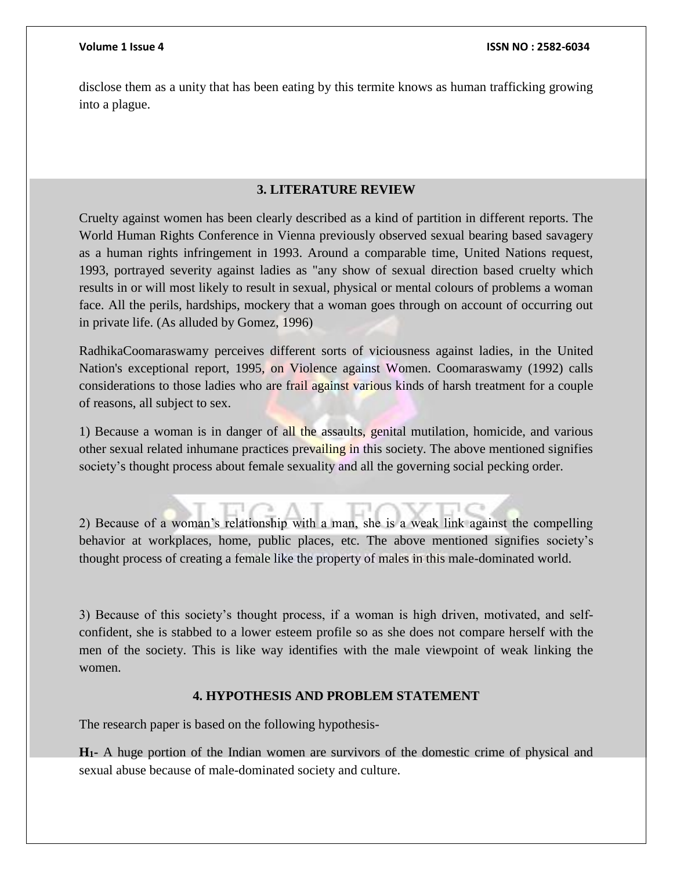disclose them as a unity that has been eating by this termite knows as human trafficking growing into a plague.

# **3. LITERATURE REVIEW**

Cruelty against women has been clearly described as a kind of partition in different reports. The World Human Rights Conference in Vienna previously observed sexual bearing based savagery as a human rights infringement in 1993. Around a comparable time, United Nations request, 1993, portrayed severity against ladies as "any show of sexual direction based cruelty which results in or will most likely to result in sexual, physical or mental colours of problems a woman face. All the perils, hardships, mockery that a woman goes through on account of occurring out in private life. (As alluded by Gomez, 1996)

RadhikaCoomaraswamy perceives different sorts of viciousness against ladies, in the United Nation's exceptional report, 1995, on Violence against Women. Coomaraswamy (1992) calls considerations to those ladies who are frail against various kinds of harsh treatment for a couple of reasons, all subject to sex.

1) Because a woman is in danger of all the assaults, genital mutilation, homicide, and various other sexual related inhumane practices prevailing in this society. The above mentioned signifies society's thought process about female sexuality and all the governing social pecking order.

2) Because of a woman's relationship with a man, she is a weak link against the compelling behavior at workplaces, home, public places, etc. The above mentioned signifies society's thought process of creating a female like the property of males in this male-dominated world.

3) Because of this society's thought process, if a woman is high driven, motivated, and selfconfident, she is stabbed to a lower esteem profile so as she does not compare herself with the men of the society. This is like way identifies with the male viewpoint of weak linking the women.

#### **4. HYPOTHESIS AND PROBLEM STATEMENT**

The research paper is based on the following hypothesis-

**H1-** A huge portion of the Indian women are survivors of the domestic crime of physical and sexual abuse because of male-dominated society and culture.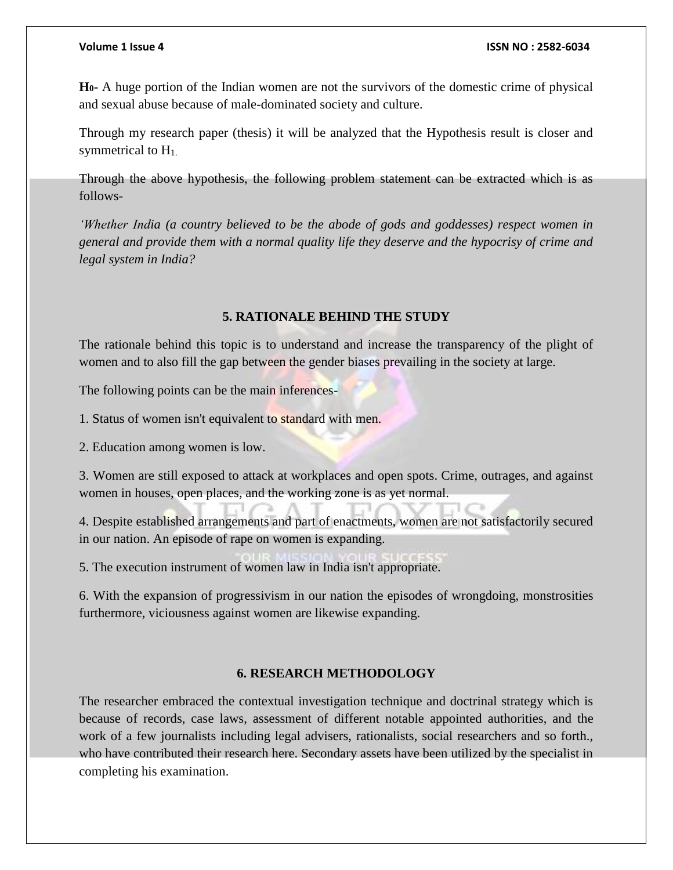**H0-** A huge portion of the Indian women are not the survivors of the domestic crime of physical and sexual abuse because of male-dominated society and culture.

Through my research paper (thesis) it will be analyzed that the Hypothesis result is closer and symmetrical to  $H<sub>1</sub>$ .

Through the above hypothesis, the following problem statement can be extracted which is as follows-

*'Whether India (a country believed to be the abode of gods and goddesses) respect women in general and provide them with a normal quality life they deserve and the hypocrisy of crime and legal system in India?* 

#### **5. RATIONALE BEHIND THE STUDY**

The rationale behind this topic is to understand and increase the transparency of the plight of women and to also fill the gap between the gender biases prevailing in the society at large.

The following points can be the main inferences-

1. Status of women isn't equivalent to standard with men.

2. Education among women is low.

3. Women are still exposed to attack at workplaces and open spots. Crime, outrages, and against women in houses, open places, and the working zone is as yet normal.

4. Despite established arrangements and part of enactments, women are not satisfactorily secured in our nation. An episode of rape on women is expanding.

5. The execution instrument of women law in India isn't appropriate.

6. With the expansion of progressivism in our nation the episodes of wrongdoing, monstrosities furthermore, viciousness against women are likewise expanding.

### **6. RESEARCH METHODOLOGY**

The researcher embraced the contextual investigation technique and doctrinal strategy which is because of records, case laws, assessment of different notable appointed authorities, and the work of a few journalists including legal advisers, rationalists, social researchers and so forth., who have contributed their research here. Secondary assets have been utilized by the specialist in completing his examination.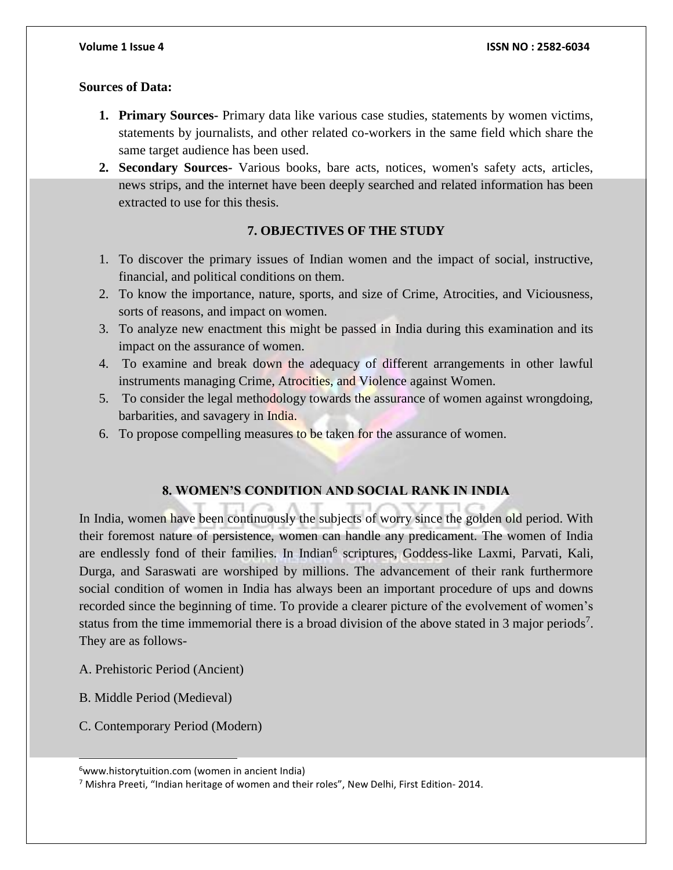### **Sources of Data:**

- **1. Primary Sources-** Primary data like various case studies, statements by women victims, statements by journalists, and other related co-workers in the same field which share the same target audience has been used.
- **2. Secondary Sources-** Various books, bare acts, notices, women's safety acts, articles, news strips, and the internet have been deeply searched and related information has been extracted to use for this thesis.

# **7. OBJECTIVES OF THE STUDY**

- 1. To discover the primary issues of Indian women and the impact of social, instructive, financial, and political conditions on them.
- 2. To know the importance, nature, sports, and size of Crime, Atrocities, and Viciousness, sorts of reasons, and impact on women.
- 3. To analyze new enactment this might be passed in India during this examination and its impact on the assurance of women.
- 4. To examine and break down the adequacy of different arrangements in other lawful instruments managing Crime, Atrocities, and Violence against Women.
- 5. To consider the legal methodology towards the assurance of women against wrongdoing, barbarities, and savagery in India.
- 6. To propose compelling measures to be taken for the assurance of women.

# **8. WOMEN'S CONDITION AND SOCIAL RANK IN INDIA**

In India, women have been continuously the subjects of worry since the golden old period. With their foremost nature of persistence, women can handle any predicament. The women of India are endlessly fond of their families. In Indian<sup>6</sup> scriptures, Goddess-like Laxmi, Parvati, Kali, Durga, and Saraswati are worshiped by millions. The advancement of their rank furthermore social condition of women in India has always been an important procedure of ups and downs recorded since the beginning of time. To provide a clearer picture of the evolvement of women's status from the time immemorial there is a broad division of the above stated in 3 major periods<sup>7</sup>. They are as follows-

- A. Prehistoric Period (Ancient)
- B. Middle Period (Medieval)

l

C. Contemporary Period (Modern)

 $6$ www.historytuition.com (women in ancient India)

<sup>7</sup> Mishra Preeti, "Indian heritage of women and their roles", New Delhi, First Edition- 2014.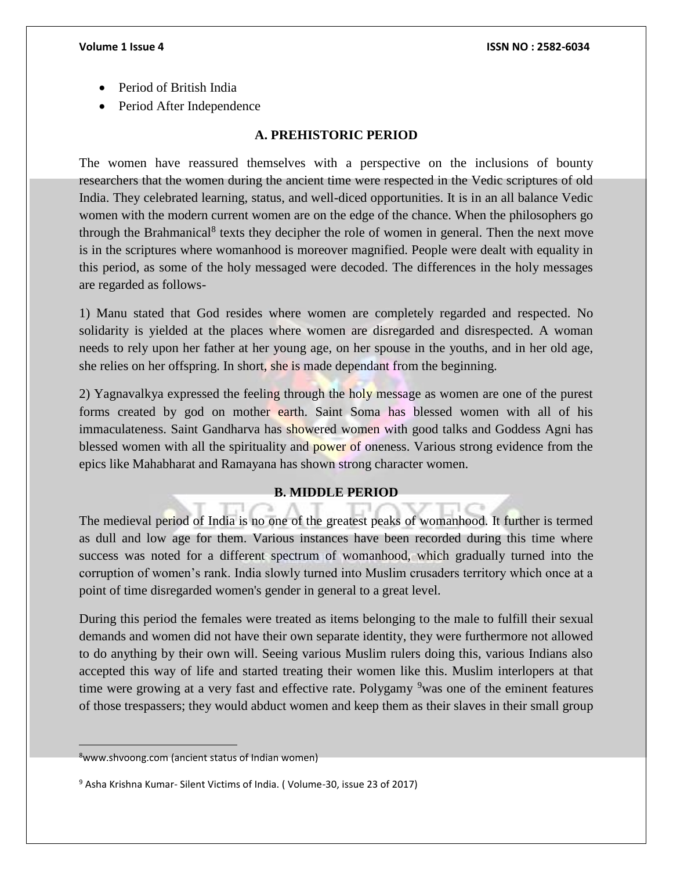- Period of British India
- Period After Independence

### **A. PREHISTORIC PERIOD**

The women have reassured themselves with a perspective on the inclusions of bounty researchers that the women during the ancient time were respected in the Vedic scriptures of old India. They celebrated learning, status, and well-diced opportunities. It is in an all balance Vedic women with the modern current women are on the edge of the chance. When the philosophers go through the Brahmanical<sup>8</sup> texts they decipher the role of women in general. Then the next move is in the scriptures where womanhood is moreover magnified. People were dealt with equality in this period, as some of the holy messaged were decoded. The differences in the holy messages are regarded as follows-

1) Manu stated that God resides where women are completely regarded and respected. No solidarity is yielded at the places where women are disregarded and disrespected. A woman needs to rely upon her father at her young age, on her spouse in the youths, and in her old age, she relies on her offspring. In short, she is made dependant from the beginning.

2) Yagnavalkya expressed the feeling through the holy message as women are one of the purest forms created by god on mother earth. Saint Soma has blessed women with all of his immaculateness. Saint Gandharva has showered women with good talks and Goddess Agni has blessed women with all the spirituality and power of oneness. Various strong evidence from the epics like Mahabharat and Ramayana has shown strong character women.

#### **B. MIDDLE PERIOD**

The medieval period of India is no one of the greatest peaks of womanhood. It further is termed as dull and low age for them. Various instances have been recorded during this time where success was noted for a different spectrum of womanhood, which gradually turned into the corruption of women's rank. India slowly turned into Muslim crusaders territory which once at a point of time disregarded women's gender in general to a great level.

During this period the females were treated as items belonging to the male to fulfill their sexual demands and women did not have their own separate identity, they were furthermore not allowed to do anything by their own will. Seeing various Muslim rulers doing this, various Indians also accepted this way of life and started treating their women like this. Muslim interlopers at that time were growing at a very fast and effective rate. Polygamy <sup>9</sup>was one of the eminent features of those trespassers; they would abduct women and keep them as their slaves in their small group

<sup>8</sup>www.shvoong.com (ancient status of Indian women)

<sup>9</sup> Asha Krishna Kumar- Silent Victims of India. ( Volume-30, issue 23 of 2017)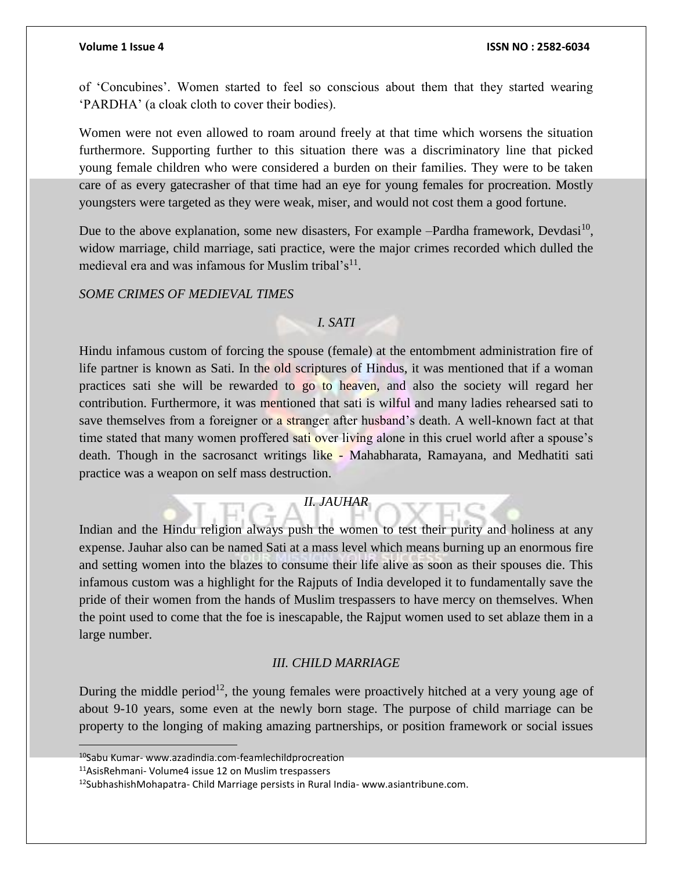of 'Concubines'. Women started to feel so conscious about them that they started wearing 'PARDHA' (a cloak cloth to cover their bodies).

Women were not even allowed to roam around freely at that time which worsens the situation furthermore. Supporting further to this situation there was a discriminatory line that picked young female children who were considered a burden on their families. They were to be taken care of as every gatecrasher of that time had an eye for young females for procreation. Mostly youngsters were targeted as they were weak, miser, and would not cost them a good fortune.

Due to the above explanation, some new disasters, For example  $-$ Pardha framework, Devdasi<sup>10</sup>, widow marriage, child marriage, sati practice, were the major crimes recorded which dulled the medieval era and was infamous for Muslim tribal's<sup>11</sup>.

#### *SOME CRIMES OF MEDIEVAL TIMES*

### *I. SATI*

Hindu infamous custom of forcing the spouse (female) at the entombment administration fire of life partner is known as Sati. In the old scriptures of Hindus, it was mentioned that if a woman practices sati she will be rewarded to go to heaven, and also the society will regard her contribution. Furthermore, it was mentioned that sati is wilful and many ladies rehearsed sati to save themselves from a foreigner or a stranger after husband's death. A well-known fact at that time stated that many women proffered sati over living alone in this cruel world after a spouse's death. Though in the sacrosanct writings like - Mahabharata, Ramayana, and Medhatiti sati practice was a weapon on self mass destruction.

#### *II. JAUHAR*

Indian and the Hindu religion always push the women to test their purity and holiness at any expense. Jauhar also can be named Sati at a mass level which means burning up an enormous fire and setting women into the blazes to consume their life alive as soon as their spouses die. This infamous custom was a highlight for the Rajputs of India developed it to fundamentally save the pride of their women from the hands of Muslim trespassers to have mercy on themselves. When the point used to come that the foe is inescapable, the Rajput women used to set ablaze them in a large number.

#### *III. CHILD MARRIAGE*

During the middle period<sup>12</sup>, the young females were proactively hitched at a very young age of about 9-10 years, some even at the newly born stage. The purpose of child marriage can be property to the longing of making amazing partnerships, or position framework or social issues

<sup>10</sup>Sabu Kumar- www.azadindia.com-feamlechildprocreation

<sup>11</sup>AsisRehmani- Volume4 issue 12 on Muslim trespassers

<sup>12</sup>SubhashishMohapatra- Child Marriage persists in Rural India- www.asiantribune.com.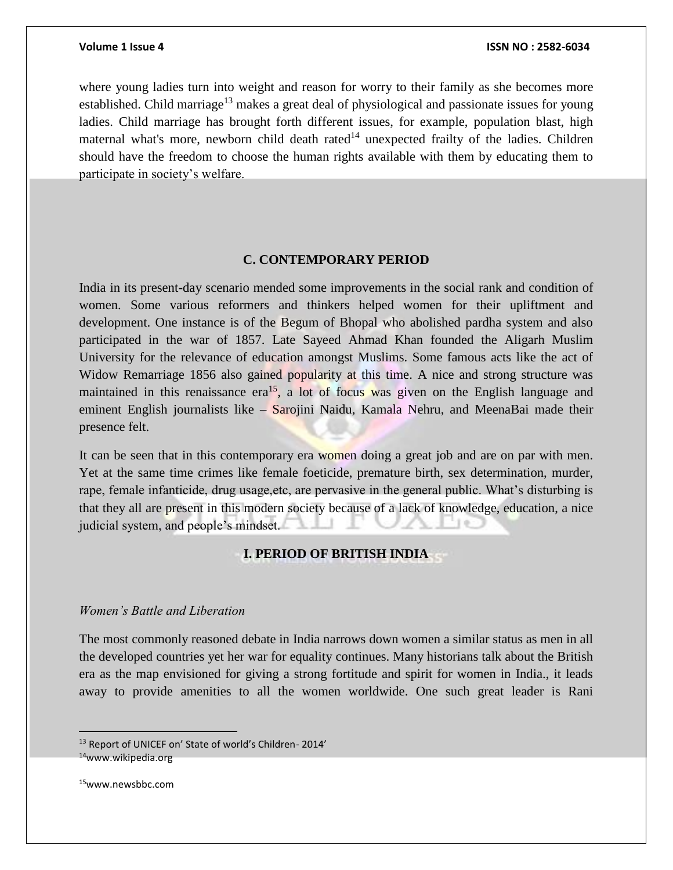where young ladies turn into weight and reason for worry to their family as she becomes more established. Child marriage<sup>13</sup> makes a great deal of physiological and passionate issues for young ladies. Child marriage has brought forth different issues, for example, population blast, high maternal what's more, newborn child death rated<sup>14</sup> unexpected frailty of the ladies. Children should have the freedom to choose the human rights available with them by educating them to participate in society's welfare.

# **C. CONTEMPORARY PERIOD**

India in its present-day scenario mended some improvements in the social rank and condition of women. Some various reformers and thinkers helped women for their upliftment and development. One instance is of the Begum of Bhopal who abolished pardha system and also participated in the war of 1857. Late Sayeed Ahmad Khan founded the Aligarh Muslim University for the relevance of education amongst Muslims. Some famous acts like the act of Widow Remarriage 1856 also gained popularity at this time. A nice and strong structure was maintained in this renaissance  $era^{15}$ , a lot of focus was given on the English language and eminent English journalists like – Sarojini Naidu, Kamala Nehru, and MeenaBai made their presence felt.

It can be seen that in this contemporary era women doing a great job and are on par with men. Yet at the same time crimes like female foeticide, premature birth, sex determination, murder, rape, female infanticide, drug usage,etc, are pervasive in the general public. What's disturbing is that they all are present in this modern society because of a lack of knowledge, education, a nice judicial system, and people's mindset.

#### **I. PERIOD OF BRITISH INDIA**

### *Women's Battle and Liberation*

The most commonly reasoned debate in India narrows down women a similar status as men in all the developed countries yet her war for equality continues. Many historians talk about the British era as the map envisioned for giving a strong fortitude and spirit for women in India., it leads away to provide amenities to all the women worldwide. One such great leader is Rani

<sup>&</sup>lt;sup>13</sup> Report of UNICEF on' State of world's Children- 2014' <sup>14</sup>www.wikipedia.org

<sup>15</sup>www.newsbbc.com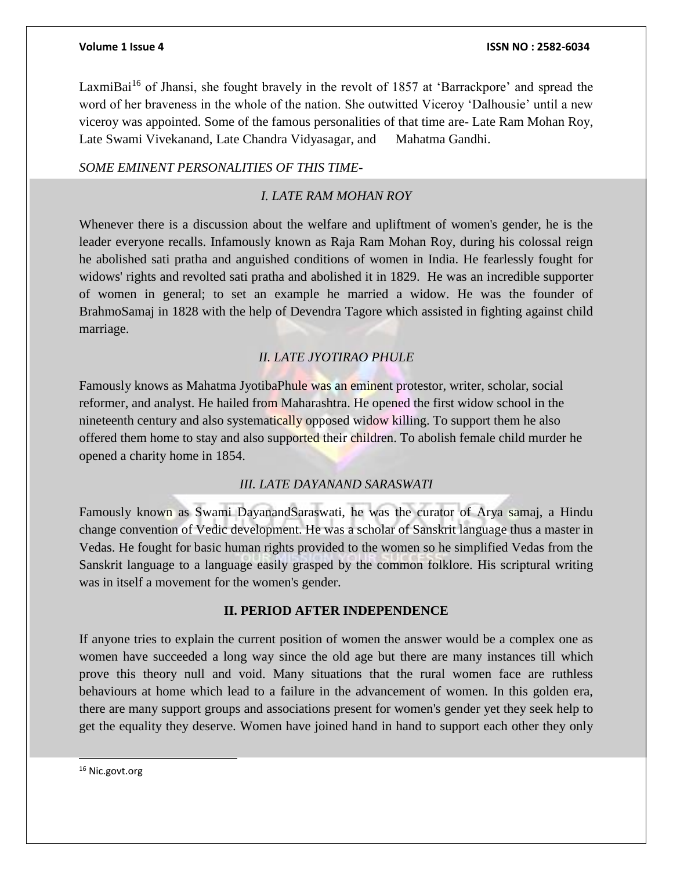LaxmiBai<sup>16</sup> of Jhansi, she fought bravely in the revolt of 1857 at 'Barrackpore' and spread the word of her braveness in the whole of the nation. She outwitted Viceroy 'Dalhousie' until a new viceroy was appointed. Some of the famous personalities of that time are- Late Ram Mohan Roy, Late Swami Vivekanand, Late Chandra Vidyasagar, and Mahatma Gandhi.

#### *SOME EMINENT PERSONALITIES OF THIS TIME-*

# *I. LATE RAM MOHAN ROY*

Whenever there is a discussion about the welfare and upliftment of women's gender, he is the leader everyone recalls. Infamously known as Raja Ram Mohan Roy, during his colossal reign he abolished sati pratha and anguished conditions of women in India. He fearlessly fought for widows' rights and revolted sati pratha and abolished it in 1829. He was an incredible supporter of women in general; to set an example he married a widow. He was the founder of BrahmoSamaj in 1828 with the help of Devendra Tagore which assisted in fighting against child marriage.

# *II. LATE JYOTIRAO PHULE*

Famously knows as Mahatma JyotibaPhule was an eminent protestor, writer, scholar, social reformer, and analyst. He hailed from Maharashtra. He opened the first widow school in the nineteenth century and also systematically opposed widow killing. To support them he also offered them home to stay and also supported their children. To abolish female child murder he opened a charity home in 1854.

#### *III. LATE DAYANAND SARASWATI*

Famously known as Swami DayanandSaraswati, he was the curator of Arya samaj, a Hindu change convention of Vedic development. He was a scholar of Sanskrit language thus a master in Vedas. He fought for basic human rights provided to the women so he simplified Vedas from the Sanskrit language to a language easily grasped by the common folklore. His scriptural writing was in itself a movement for the women's gender.

### **II. PERIOD AFTER INDEPENDENCE**

If anyone tries to explain the current position of women the answer would be a complex one as women have succeeded a long way since the old age but there are many instances till which prove this theory null and void. Many situations that the rural women face are ruthless behaviours at home which lead to a failure in the advancement of women. In this golden era, there are many support groups and associations present for women's gender yet they seek help to get the equality they deserve. Women have joined hand in hand to support each other they only

l

<sup>&</sup>lt;sup>16</sup> Nic.govt.org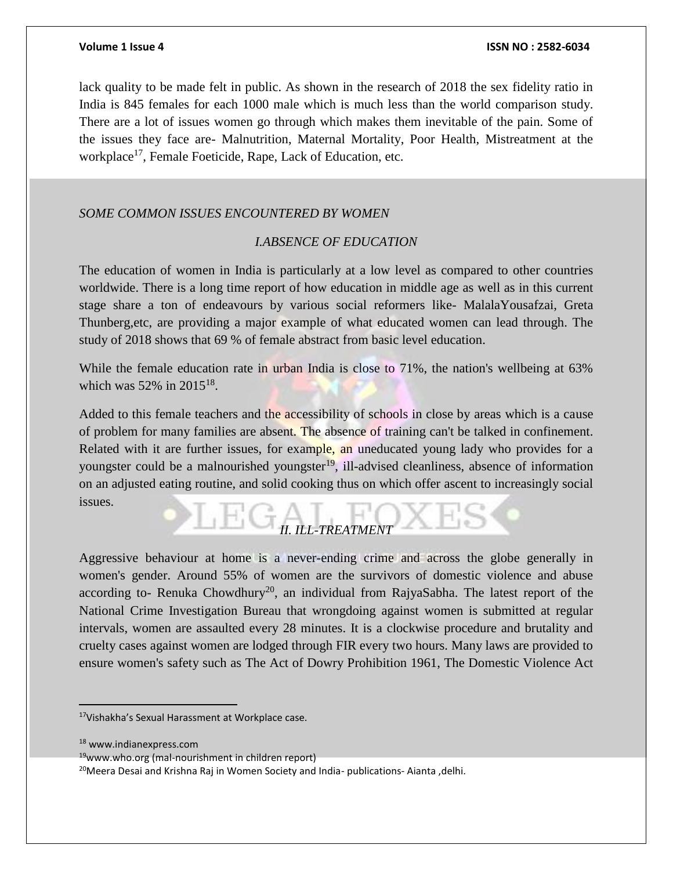lack quality to be made felt in public. As shown in the research of 2018 the sex fidelity ratio in India is 845 females for each 1000 male which is much less than the world comparison study. There are a lot of issues women go through which makes them inevitable of the pain. Some of the issues they face are- Malnutrition, Maternal Mortality, Poor Health, Mistreatment at the workplace<sup>17</sup>, Female Foeticide, Rape, Lack of Education, etc.

# *SOME COMMON ISSUES ENCOUNTERED BY WOMEN*

# *I.ABSENCE OF EDUCATION*

The education of women in India is particularly at a low level as compared to other countries worldwide. There is a long time report of how education in middle age as well as in this current stage share a ton of endeavours by various social reformers like- MalalaYousafzai, Greta Thunberg,etc, are providing a major example of what educated women can lead through. The study of 2018 shows that 69 % of female abstract from basic level education.

While the female education rate in urban India is close to 71%, the nation's wellbeing at 63% which was  $52\%$  in  $2015^{18}$ .

Added to this female teachers and the accessibility of schools in close by areas which is a cause of problem for many families are absent. The absence of training can't be talked in confinement. Related with it are further issues, for example, an uneducated young lady who provides for a youngster could be a malnourished youngster<sup>19</sup>, ill-advised cleanliness, absence of information on an adjusted eating routine, and solid cooking thus on which offer ascent to increasingly social issues.

# *II. ILL-TREATMENT*

Aggressive behaviour at home is a never-ending crime and across the globe generally in women's gender. Around 55% of women are the survivors of domestic violence and abuse according to- Renuka Chowdhury<sup>20</sup>, an individual from RajyaSabha. The latest report of the National Crime Investigation Bureau that wrongdoing against women is submitted at regular intervals, women are assaulted every 28 minutes. It is a clockwise procedure and brutality and cruelty cases against women are lodged through FIR every two hours. Many laws are provided to ensure women's safety such as The Act of Dowry Prohibition 1961, The Domestic Violence Act

<sup>17</sup>Vishakha's Sexual Harassment at Workplace case.

<sup>18</sup> www.indianexpress.com

 $19$ www.who.org (mal-nourishment in children report)

<sup>&</sup>lt;sup>20</sup>Meera Desai and Krishna Raj in Women Society and India- publications- Aianta ,delhi.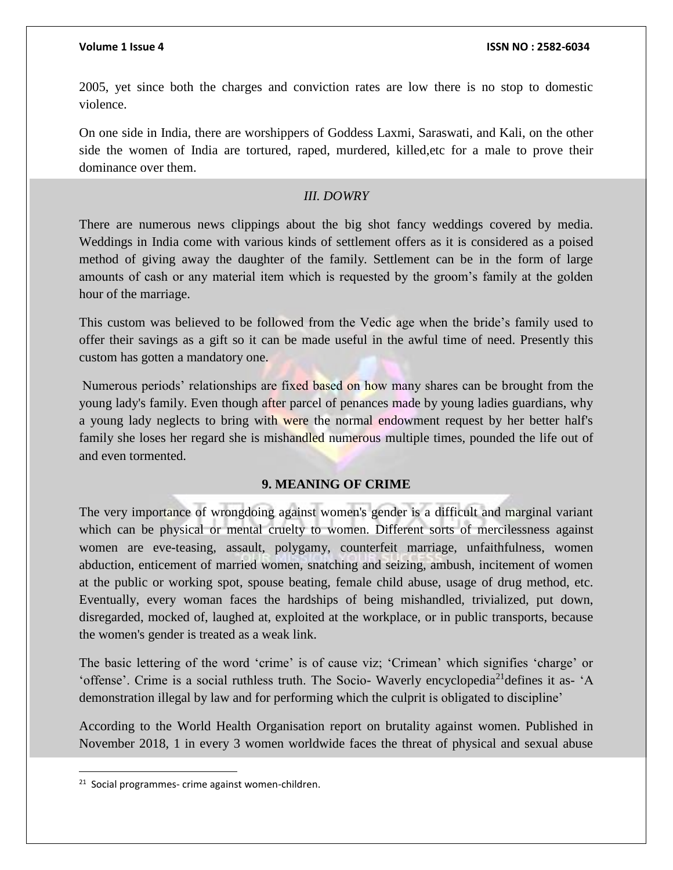2005, yet since both the charges and conviction rates are low there is no stop to domestic violence.

On one side in India, there are worshippers of Goddess Laxmi, Saraswati, and Kali, on the other side the women of India are tortured, raped, murdered, killed,etc for a male to prove their dominance over them.

### *III. DOWRY*

There are numerous news clippings about the big shot fancy weddings covered by media. Weddings in India come with various kinds of settlement offers as it is considered as a poised method of giving away the daughter of the family. Settlement can be in the form of large amounts of cash or any material item which is requested by the groom's family at the golden hour of the marriage.

This custom was believed to be followed from the Vedic age when the bride's family used to offer their savings as a gift so it can be made useful in the awful time of need. Presently this custom has gotten a mandatory one.

Numerous periods' relationships are fixed based on how many shares can be brought from the young lady's family. Even though after parcel of penances made by young ladies guardians, why a young lady neglects to bring with were the normal endowment request by her better half's family she loses her regard she is mishandled numerous multiple times, pounded the life out of and even tormented.

#### **9. MEANING OF CRIME**

The very importance of wrongdoing against women's gender is a difficult and marginal variant which can be physical or mental cruelty to women. Different sorts of mercilessness against women are eve-teasing, assault, polygamy, counterfeit marriage, unfaithfulness, women abduction, enticement of married women, snatching and seizing, ambush, incitement of women at the public or working spot, spouse beating, female child abuse, usage of drug method, etc. Eventually, every woman faces the hardships of being mishandled, trivialized, put down, disregarded, mocked of, laughed at, exploited at the workplace, or in public transports, because the women's gender is treated as a weak link.

The basic lettering of the word 'crime' is of cause viz; 'Crimean' which signifies 'charge' or 'offense'. Crime is a social ruthless truth. The Socio- Waverly encyclopedia<sup>21</sup> defines it as- 'A demonstration illegal by law and for performing which the culprit is obligated to discipline'

According to the World Health Organisation report on brutality against women. Published in November 2018, 1 in every 3 women worldwide faces the threat of physical and sexual abuse

 $\overline{\phantom{a}}$ 

<sup>&</sup>lt;sup>21</sup> Social programmes- crime against women-children.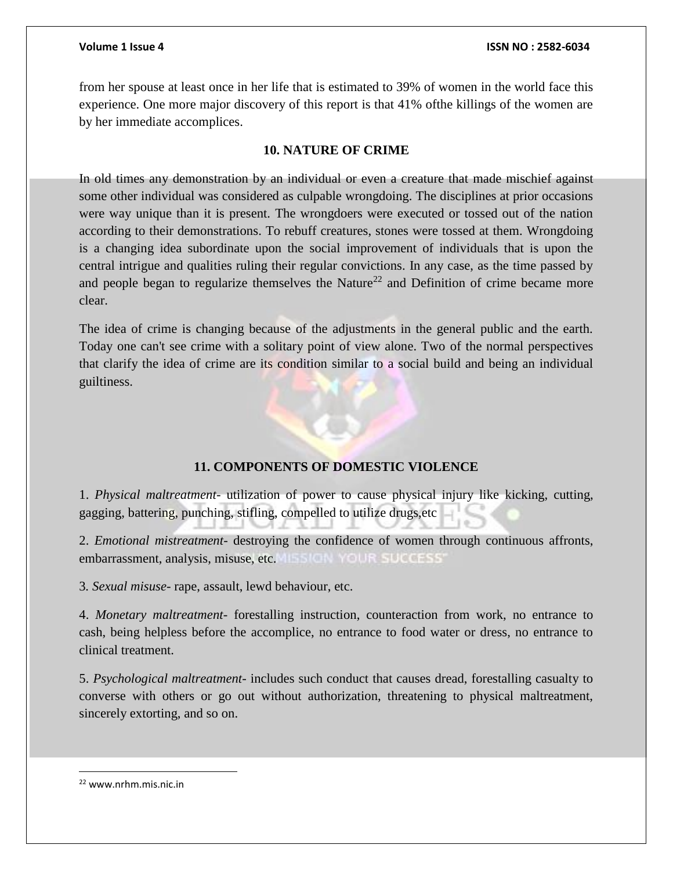from her spouse at least once in her life that is estimated to 39% of women in the world face this experience. One more major discovery of this report is that 41% ofthe killings of the women are by her immediate accomplices.

# **10. NATURE OF CRIME**

In old times any demonstration by an individual or even a creature that made mischief against some other individual was considered as culpable wrongdoing. The disciplines at prior occasions were way unique than it is present. The wrongdoers were executed or tossed out of the nation according to their demonstrations. To rebuff creatures, stones were tossed at them. Wrongdoing is a changing idea subordinate upon the social improvement of individuals that is upon the central intrigue and qualities ruling their regular convictions. In any case, as the time passed by and people began to regularize themselves the Nature<sup>22</sup> and Definition of crime became more clear.

The idea of crime is changing because of the adjustments in the general public and the earth. Today one can't see crime with a solitary point of view alone. Two of the normal perspectives that clarify the idea of crime are its condition similar to a social build and being an individual guiltiness.

# **11. COMPONENTS OF DOMESTIC VIOLENCE**

1. *Physical maltreatment*- utilization of power to cause physical injury like kicking, cutting, gagging, battering, punching, stifling, compelled to utilize drugs,etc

2. *Emotional mistreatment*- destroying the confidence of women through continuous affronts, embarrassment, analysis, misuse, etc. This ICIN YOUR SUCCESS'

3*. Sexual misuse*- rape, assault, lewd behaviour, etc.

4. *Monetary maltreatment*- forestalling instruction, counteraction from work, no entrance to cash, being helpless before the accomplice, no entrance to food water or dress, no entrance to clinical treatment.

5. *Psychological maltreatment*- includes such conduct that causes dread, forestalling casualty to converse with others or go out without authorization, threatening to physical maltreatment, sincerely extorting, and so on.

 $\overline{\phantom{a}}$ 

<sup>22</sup> www.nrhm.mis.nic.in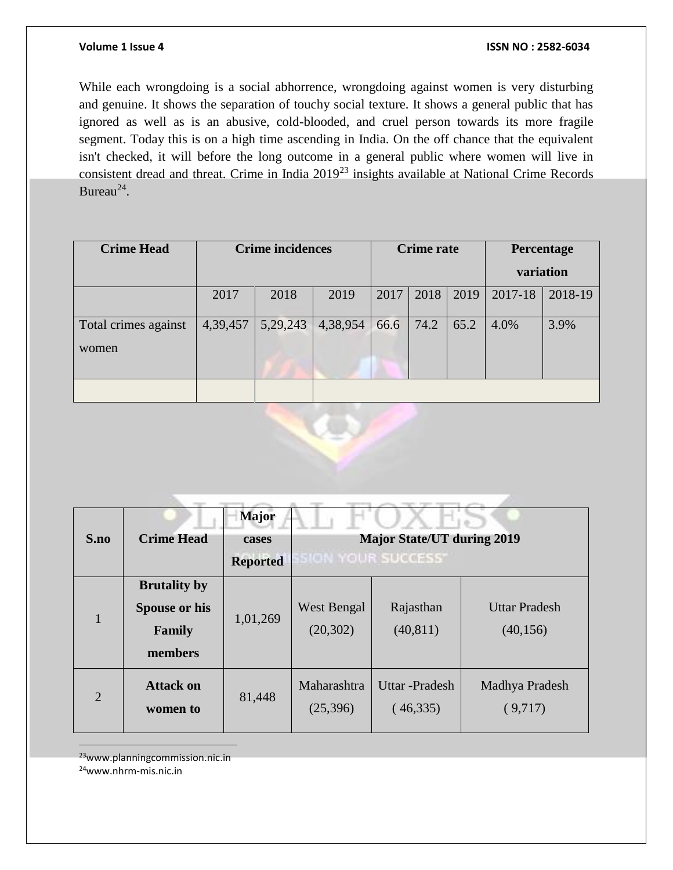While each wrongdoing is a social abhorrence, wrongdoing against women is very disturbing and genuine. It shows the separation of touchy social texture. It shows a general public that has ignored as well as is an abusive, cold-blooded, and cruel person towards its more fragile segment. Today this is on a high time ascending in India. On the off chance that the equivalent isn't checked, it will before the long outcome in a general public where women will live in consistent dread and threat. Crime in India 2019<sup>23</sup> insights available at National Crime Records Bureau $^{24}$ .

| <b>Crime Head</b>             |          | <b>Crime incidences</b> |          | <b>Crime rate</b> |      |      | Percentage |         |
|-------------------------------|----------|-------------------------|----------|-------------------|------|------|------------|---------|
|                               |          |                         |          |                   |      |      | variation  |         |
|                               | 2017     | 2018                    | 2019     | 2017              | 2018 | 2019 | 2017-18    | 2018-19 |
| Total crimes against<br>women | 4,39,457 | 5,29,243                | 4,38,954 | 66.6              | 74.2 | 65.2 | 4.0%       | 3.9%    |
|                               |          |                         |          |                   |      |      |            |         |
|                               |          |                         |          |                   |      |      |            |         |



<sup>23</sup>www.planningcommission.nic.in

<sup>24</sup>www.nhrm-mis.nic.in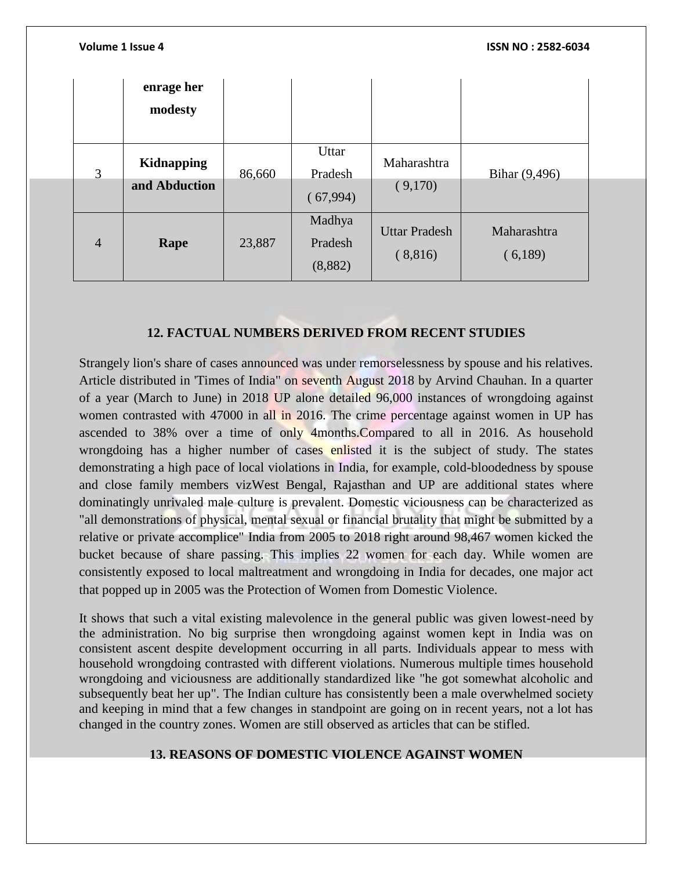|                | Volume 1 Issue 4            |        |                              | ISSN NO: 2582-6034              |                        |  |  |  |
|----------------|-----------------------------|--------|------------------------------|---------------------------------|------------------------|--|--|--|
|                | enrage her<br>modesty       |        |                              |                                 |                        |  |  |  |
| $\overline{3}$ | Kidnapping<br>and Abduction | 86,660 | Uttar<br>Pradesh<br>(67,994) | Maharashtra<br>(9,170)          | Bihar (9,496)          |  |  |  |
| $\overline{4}$ | Rape                        | 23,887 | Madhya<br>Pradesh<br>(8,882) | <b>Uttar Pradesh</b><br>(8,816) | Maharashtra<br>(6,189) |  |  |  |

# **12. FACTUAL NUMBERS DERIVED FROM RECENT STUDIES**

Strangely lion's share of cases announced was under remorselessness by spouse and his relatives. Article distributed in 'Times of India" on seventh August 2018 by Arvind Chauhan. In a quarter of a year (March to June) in 2018 UP alone detailed 96,000 instances of wrongdoing against women contrasted with 47000 in all in 2016. The crime percentage against women in UP has ascended to 38% over a time of only 4months.Compared to all in 2016. As household wrongdoing has a higher number of cases enlisted it is the subject of study. The states demonstrating a high pace of local violations in India, for example, cold-bloodedness by spouse and close family members vizWest Bengal, Rajasthan and UP are additional states where dominatingly unrivaled male culture is prevalent. Domestic viciousness can be characterized as "all demonstrations of physical, mental sexual or financial brutality that might be submitted by a relative or private accomplice" India from 2005 to 2018 right around 98,467 women kicked the bucket because of share passing. This implies 22 women for each day. While women are consistently exposed to local maltreatment and wrongdoing in India for decades, one major act that popped up in 2005 was the Protection of Women from Domestic Violence.

It shows that such a vital existing malevolence in the general public was given lowest-need by the administration. No big surprise then wrongdoing against women kept in India was on consistent ascent despite development occurring in all parts. Individuals appear to mess with household wrongdoing contrasted with different violations. Numerous multiple times household wrongdoing and viciousness are additionally standardized like "he got somewhat alcoholic and subsequently beat her up". The Indian culture has consistently been a male overwhelmed society and keeping in mind that a few changes in standpoint are going on in recent years, not a lot has changed in the country zones. Women are still observed as articles that can be stifled.

# **13. REASONS OF DOMESTIC VIOLENCE AGAINST WOMEN**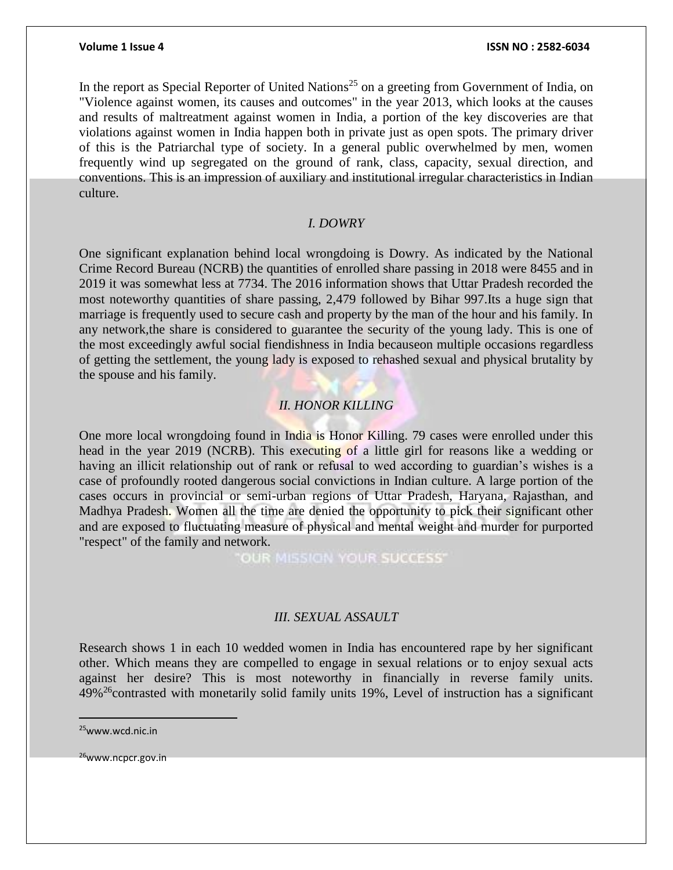In the report as Special Reporter of United Nations<sup>25</sup> on a greeting from Government of India, on "Violence against women, its causes and outcomes" in the year 2013, which looks at the causes and results of maltreatment against women in India, a portion of the key discoveries are that violations against women in India happen both in private just as open spots. The primary driver of this is the Patriarchal type of society. In a general public overwhelmed by men, women frequently wind up segregated on the ground of rank, class, capacity, sexual direction, and conventions. This is an impression of auxiliary and institutional irregular characteristics in Indian culture.

#### *I. DOWRY*

One significant explanation behind local wrongdoing is Dowry. As indicated by the National Crime Record Bureau (NCRB) the quantities of enrolled share passing in 2018 were 8455 and in 2019 it was somewhat less at 7734. The 2016 information shows that Uttar Pradesh recorded the most noteworthy quantities of share passing, 2,479 followed by Bihar 997.Its a huge sign that marriage is frequently used to secure cash and property by the man of the hour and his family. In any network,the share is considered to guarantee the security of the young lady. This is one of the most exceedingly awful social fiendishness in India becauseon multiple occasions regardless of getting the settlement, the young lady is exposed to rehashed sexual and physical brutality by the spouse and his family.

# *II. HONOR KILLING*

One more local wrongdoing found in India is Honor Killing. 79 cases were enrolled under this head in the year 2019 (NCRB). This executing of a little girl for reasons like a wedding or having an illicit relationship out of rank or refusal to wed according to guardian's wishes is a case of profoundly rooted dangerous social convictions in Indian culture. A large portion of the cases occurs in provincial or semi-urban regions of Uttar Pradesh, Haryana, Rajasthan, and Madhya Pradesh. Women all the time are denied the opportunity to pick their significant other and are exposed to fluctuating measure of physical and mental weight and murder for purported "respect" of the family and network.

OUR MISSION YOUR SUCCESS"

#### *III. SEXUAL ASSAULT*

Research shows 1 in each 10 wedded women in India has encountered rape by her significant other. Which means they are compelled to engage in sexual relations or to enjoy sexual acts against her desire? This is most noteworthy in financially in reverse family units.  $49\%$ <sup>26</sup>contrasted with monetarily solid family units 19%, Level of instruction has a significant

 $\overline{a}$ 

<sup>25</sup>www.wcd.nic.in

<sup>26</sup>www.ncpcr.gov.in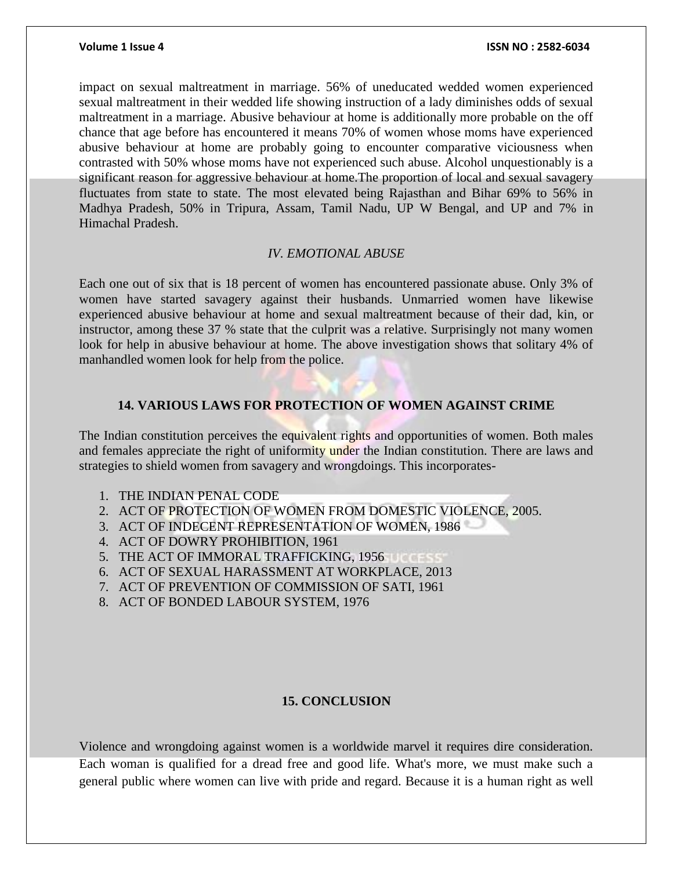impact on sexual maltreatment in marriage. 56% of uneducated wedded women experienced sexual maltreatment in their wedded life showing instruction of a lady diminishes odds of sexual maltreatment in a marriage. Abusive behaviour at home is additionally more probable on the off chance that age before has encountered it means 70% of women whose moms have experienced abusive behaviour at home are probably going to encounter comparative viciousness when contrasted with 50% whose moms have not experienced such abuse. Alcohol unquestionably is a significant reason for aggressive behaviour at home.The proportion of local and sexual savagery fluctuates from state to state. The most elevated being Rajasthan and Bihar 69% to 56% in Madhya Pradesh, 50% in Tripura, Assam, Tamil Nadu, UP W Bengal, and UP and 7% in Himachal Pradesh.

### *IV. EMOTIONAL ABUSE*

Each one out of six that is 18 percent of women has encountered passionate abuse. Only 3% of women have started savagery against their husbands. Unmarried women have likewise experienced abusive behaviour at home and sexual maltreatment because of their dad, kin, or instructor, among these 37 % state that the culprit was a relative. Surprisingly not many women look for help in abusive behaviour at home. The above investigation shows that solitary 4% of manhandled women look for help from the police.

### **14. VARIOUS LAWS FOR PROTECTION OF WOMEN AGAINST CRIME**

The Indian constitution perceives the equivalent rights and opportunities of women. Both males and females appreciate the right of uniformity under the Indian constitution. There are laws and strategies to shield women from savagery and wrongdoings. This incorporates-

- 1. THE INDIAN PENAL CODE
- 2. ACT OF PROTECTION OF WOMEN FROM DOMESTIC VIOLENCE, 2005.
- 3. ACT OF INDECENT REPRESENTATION OF WOMEN, 1986
- 4. ACT OF DOWRY PROHIBITION, 1961
- 5. THE ACT OF IMMORAL TRAFFICKING, 1956
- 6. ACT OF SEXUAL HARASSMENT AT WORKPLACE, 2013
- 7. ACT OF PREVENTION OF COMMISSION OF SATI, 1961
- 8. ACT OF BONDED LABOUR SYSTEM, 1976

# **15. CONCLUSION**

Violence and wrongdoing against women is a worldwide marvel it requires dire consideration. Each woman is qualified for a dread free and good life. What's more, we must make such a general public where women can live with pride and regard. Because it is a human right as well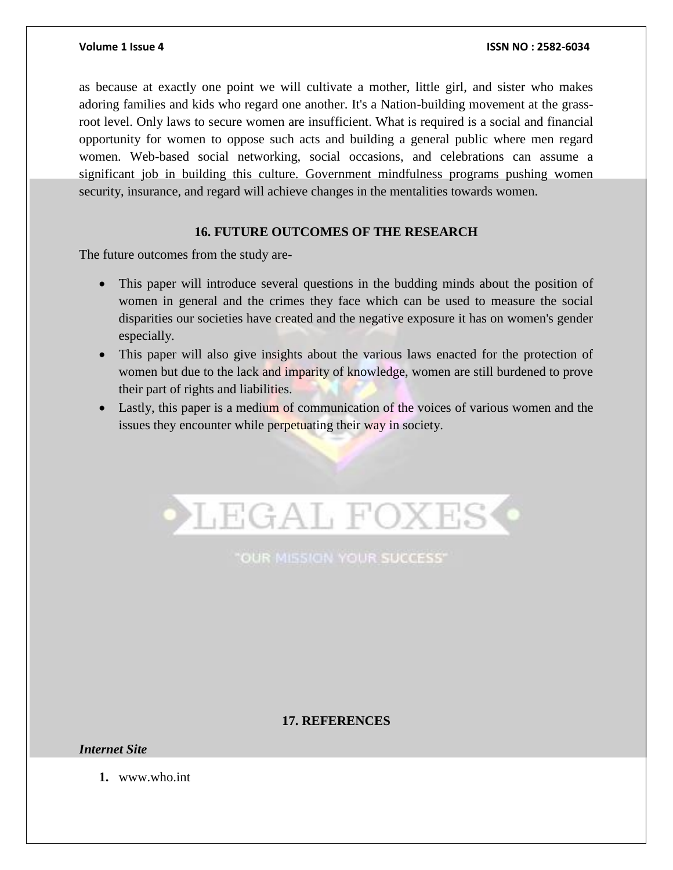as because at exactly one point we will cultivate a mother, little girl, and sister who makes adoring families and kids who regard one another. It's a Nation-building movement at the grassroot level. Only laws to secure women are insufficient. What is required is a social and financial opportunity for women to oppose such acts and building a general public where men regard women. Web-based social networking, social occasions, and celebrations can assume a significant job in building this culture. Government mindfulness programs pushing women security, insurance, and regard will achieve changes in the mentalities towards women.

### **16. FUTURE OUTCOMES OF THE RESEARCH**

The future outcomes from the study are-

- This paper will introduce several questions in the budding minds about the position of women in general and the crimes they face which can be used to measure the social disparities our societies have created and the negative exposure it has on women's gender especially.
- This paper will also give insights about the various laws enacted for the protection of women but due to the lack and imparity of knowledge, women are still burdened to prove their part of rights and liabilities.
- Lastly, this paper is a medium of communication of the voices of various women and the issues they encounter while perpetuating their way in society.



"OUR MISSION YOUR SUCCESS"

## **17. REFERENCES**

*Internet Site*

**1.** www.who.int